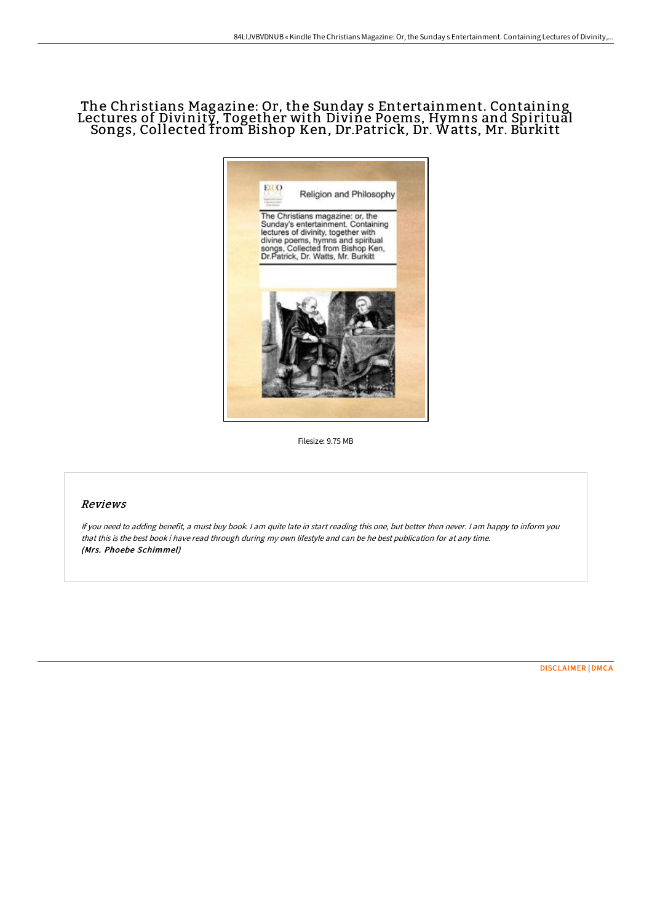## The Christians Magazine: Or, the Sunday s Entertainment. Containing Lectures of Divinity, Together with Divine Poems, Hymns and Spiritual Songs, Collected from Bishop Ken, Dr.Patrick, Dr. Watts, Mr. Burkitt



Filesize: 9.75 MB

## Reviews

If you need to adding benefit, <sup>a</sup> must buy book. <sup>I</sup> am quite late in start reading this one, but better then never. <sup>I</sup> am happy to inform you that this is the best book i have read through during my own lifestyle and can be he best publication for at any time. (Mrs. Phoebe Schimmel)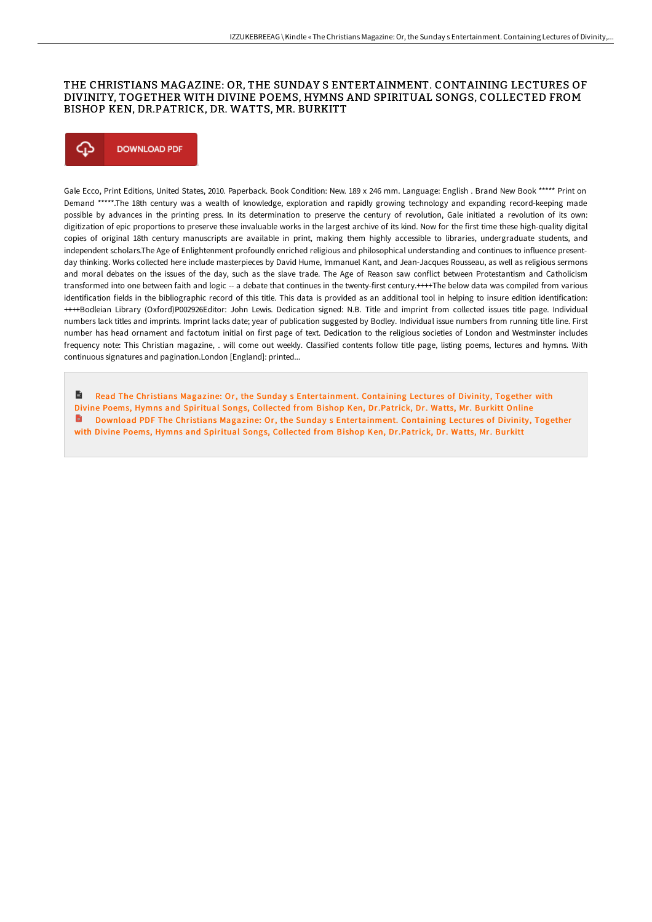## THE CHRISTIANS MAGAZINE: OR, THE SUNDAY S ENTERTAINMENT. CONTAINING LECTURES OF DIVINITY, TOGETHER WITH DIVINE POEMS, HYMNS AND SPIRITUAL SONGS, COLLECTED FROM BISHOP KEN, DR.PATRICK, DR. WATTS, MR. BURKITT



Gale Ecco, Print Editions, United States, 2010. Paperback. Book Condition: New. 189 x 246 mm. Language: English . Brand New Book \*\*\*\*\* Print on Demand \*\*\*\*\*.The 18th century was a wealth of knowledge, exploration and rapidly growing technology and expanding record-keeping made possible by advances in the printing press. In its determination to preserve the century of revolution, Gale initiated a revolution of its own: digitization of epic proportions to preserve these invaluable works in the largest archive of its kind. Now for the first time these high-quality digital copies of original 18th century manuscripts are available in print, making them highly accessible to libraries, undergraduate students, and independent scholars.The Age of Enlightenment profoundly enriched religious and philosophical understanding and continues to influence presentday thinking. Works collected here include masterpieces by David Hume, Immanuel Kant, and Jean-Jacques Rousseau, as well as religious sermons and moral debates on the issues of the day, such as the slave trade. The Age of Reason saw conflict between Protestantism and Catholicism transformed into one between faith and logic -- a debate that continues in the twenty-first century.++++The below data was compiled from various identification fields in the bibliographic record of this title. This data is provided as an additional tool in helping to insure edition identification: ++++Bodleian Library (Oxford)P002926Editor: John Lewis. Dedication signed: N.B. Title and imprint from collected issues title page. Individual numbers lack titles and imprints. Imprint lacks date; year of publication suggested by Bodley. Individual issue numbers from running title line. First number has head ornament and factotum initial on first page of text. Dedication to the religious societies of London and Westminster includes frequency note: This Christian magazine, . will come out weekly. Classified contents follow title page, listing poems, lectures and hymns. With continuous signatures and pagination.London [England]: printed...

B Read The Christians Magazine: Or, the Sunday s [Entertainment.](http://www.bookdirs.com/the-christians-magazine-or-the-sunday-s-entertai.html) Containing Lectures of Divinity, Together with Divine Poems, Hymns and Spiritual Songs, Collected from Bishop Ken, Dr.Patrick, Dr. Watts, Mr. Burkitt Online Download PDF The Christians Magazine: Or, the Sunday s [Entertainment.](http://www.bookdirs.com/the-christians-magazine-or-the-sunday-s-entertai.html) Containing Lectures of Divinity, Together with Divine Poems, Hymns and Spiritual Songs, Collected from Bishop Ken, Dr.Patrick, Dr. Watts, Mr. Burkitt